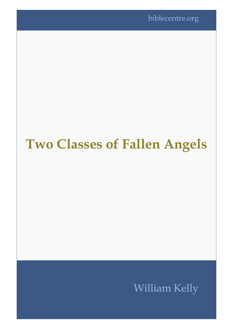biblecentre.org

## **Two Classes of Fallen Angels**

William Kelly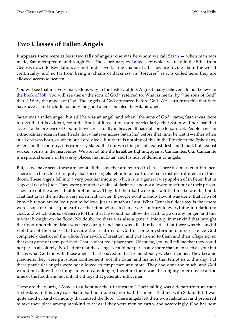## **Two Classes of Fallen Angels**

It appears there were at least two falls of angels; one was he whom we call  $Satan Satan -$  when man was made, Satan tempted man through Eve. Those ordinary [evil angels,](http://biblecentre.org/content.php?mode=8&cat=2#fallenangels/demons) of which we read in the Bible from Genesis down to Revelation, are not under everlasting chains at all. They are roving about the world continually, and so far from being in chains of darkness, in "tortures" as it is called here, they are allowed access to heaven.

You will see that in a very marvellous way in the history of Job. A great many believers do not believe in the [book of Job.](http://biblecentre.org/content.php?mode=3#job) You will see there "the sons of God" referred to. What is meant by "the sons of God" there? Why, the angels of God. The angels of God appeared before God. We learn from this that they have access, and include not only the good angels but also the Satanic angels.

Satan was a fallen angel, but still he was an angel, and when "the sons of God" came, Satan was there too. So that it is evident, from the Book of Revelation more particularly, that Satan will not lose that access to the presence of God until we are actually in heaven. It has not come to pass yet. People have an extraordinary idea in their heads that whatever access Satan had before that time, he lost it—either when our Lord was born, or when our Lord died—but there is nothing of this in the Epistle to the Ephesians, where, on the contrary, it is expressly stated that our wrestling is not against flesh and blood, but against wicked spirits in the heavenlies. We are not like the Israelites fighting against Canaanites. Our Canaanite is a spiritual enemy in heavenly places, that is, Satan and his host of demons or angels.

But, as we have seen, these are not at all the sins that are referred to here. There is a marked difference. There is a character of iniquity that these angels fell into on earth, and so a distinct difference in their doom. These angels fell into a very peculiar iniquity, which is in a general way spoken of in Peter, but in a special way in Jude. They were put under chains of darkness and not allowed to stir out of their prison. They are not the angels that tempt us now. They did their bad work just a little time before the flood. That fact gives the matter a very solemn character. If people want to know how it was done, that I do not know; but you are called upon to believe, just as much as I am. What Genesis 6 does say is that there were "sons of God" upon earth at that time who acted in a way contrary to everything in relation to God, and which was so offensive to Him that He would not allow the earth to go on any longer, and this is what brought on the flood. No doubt too there was also a general iniquity in mankind that brought the flood upon them. Man was very corrupt and man was vile, but besides that there was this awful violation of the marks that divide the creatures of God in some mysterious manner. Hence God completely destroyed the whole framework of creation, and put an end to them and their offspring, so that every one of them perished. That is what took place then. Of course, you will tell me that they could not perish absolutely. No, I admit that these angels could not perish any more than men such as you; but this is what God did with those angels that behaved in that tremendously wicked manner. They became prisoners, they were put under confinement, not like Satan and his host that tempt us to this day, but these particular angels were not allowed to tempt men any more. They had done too much, and God would not allow these things to go on any longer, therefore there was this mighty interference at the time of the flood, and not only the things that generally inflict men.

These are the words, "Angels that kept not their first estate." Their falling was a departure from their first estate. In this very case Satan had not done so, nor had the angels that fell with Satan. But it was quite another kind of iniquity that caused the flood. These angels left their own habitation and preferred to take their place among mankind to act as if they were men on earth, and accordingly, God has now